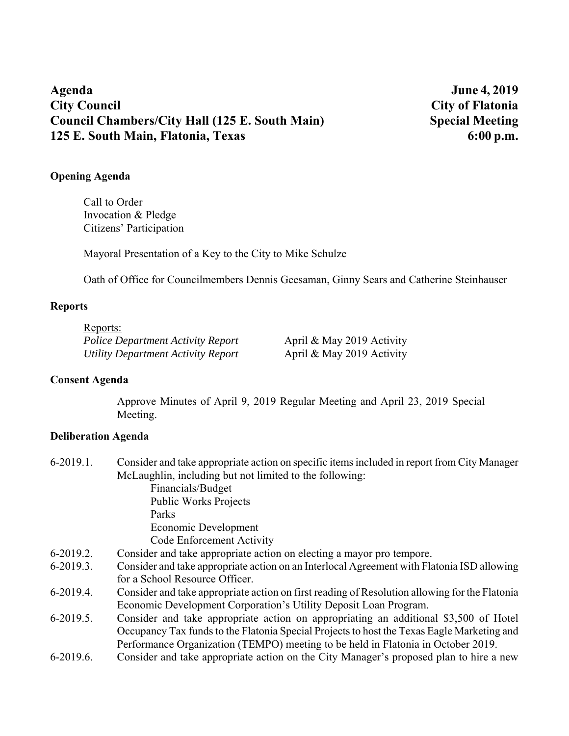# **Agenda June 4, 2019 City Council City of Flatonia**  Council Chambers/City Hall (125 E. South Main) Special Meeting **125 E. South Main, Flatonia, Texas 6:00 p.m.**

# **Opening Agenda**

Call to Order Invocation & Pledge Citizens' Participation

Mayoral Presentation of a Key to the City to Mike Schulze

Oath of Office for Councilmembers Dennis Geesaman, Ginny Sears and Catherine Steinhauser

## **Reports**

Reports: *Police Department Activity Report* April & May 2019 Activity *Utility Department Activity Report* April & May 2019 Activity

### **Consent Agenda**

Approve Minutes of April 9, 2019 Regular Meeting and April 23, 2019 Special Meeting.

# **Deliberation Agenda**

| $6-2019.1.$  | Consider and take appropriate action on specific items included in report from City Manager   |
|--------------|-----------------------------------------------------------------------------------------------|
|              | McLaughlin, including but not limited to the following:                                       |
|              | Financials/Budget                                                                             |
|              | <b>Public Works Projects</b>                                                                  |
|              | Parks                                                                                         |
|              | Economic Development                                                                          |
|              | Code Enforcement Activity                                                                     |
| $6-2019.2$ . | Consider and take appropriate action on electing a mayor pro tempore.                         |
| $6-2019.3$ . | Consider and take appropriate action on an Interlocal Agreement with Flatonia ISD allowing    |
|              | for a School Resource Officer.                                                                |
| 6-2019.4.    | Consider and take appropriate action on first reading of Resolution allowing for the Flatonia |
|              | Economic Development Corporation's Utility Deposit Loan Program.                              |
| $6-2019.5$ . | Consider and take appropriate action on appropriating an additional \$3,500 of Hotel          |
|              | Occupancy Tax funds to the Flatonia Special Projects to host the Texas Eagle Marketing and    |
|              | Performance Organization (TEMPO) meeting to be held in Flatonia in October 2019.              |

6-2019.6. Consider and take appropriate action on the City Manager's proposed plan to hire a new